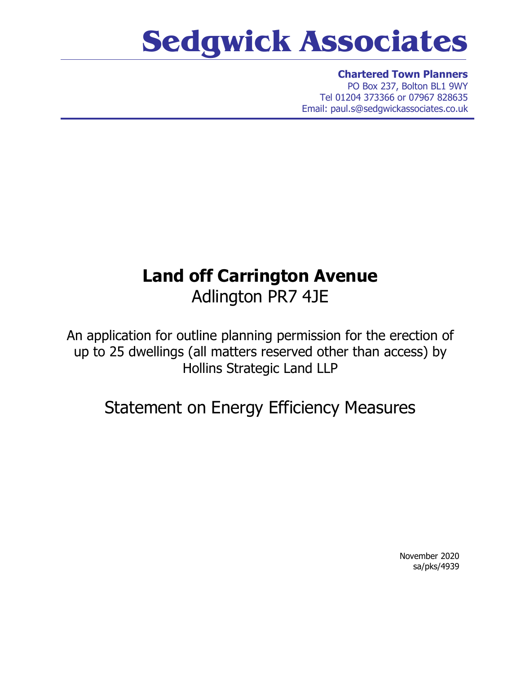## **Sedgwick Associates**

**Chartered Town Planners** PO Box 237, Bolton BL1 9WY Tel 01204 373366 or 07967 828635 Email: paul.s@sedgwickassociates.co.uk

## **Land off Carrington Avenue** Adlington PR7 4JE

An application for outline planning permission for the erection of up to 25 dwellings (all matters reserved other than access) by Hollins Strategic Land LLP

## Statement on Energy Efficiency Measures

November 2020 sa/pks/4939